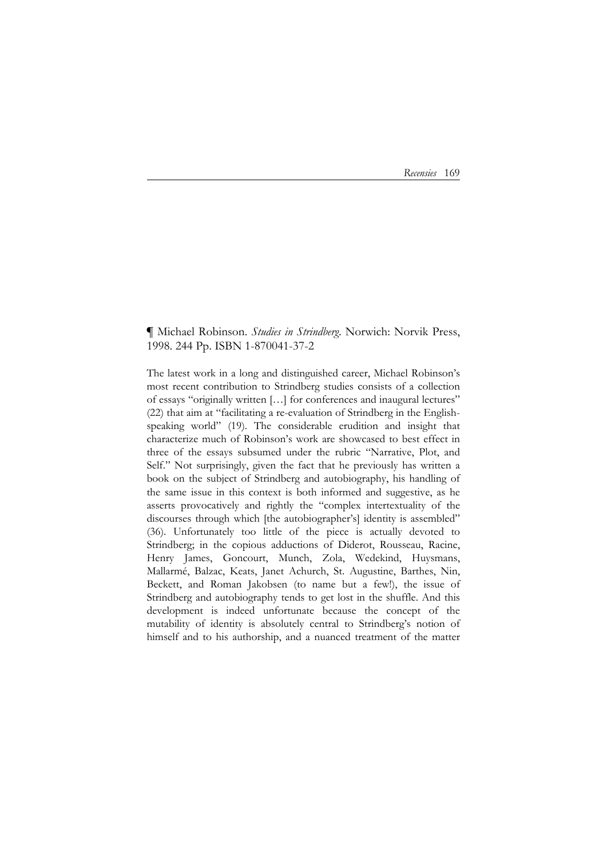*Recensies* 169

## **¶** Michael Robinson. *Studies in Strindberg*. Norwich: Norvik Press, 1998. 244 Pp. ISBN 1-870041-37-2

The latest work in a long and distinguished career, Michael Robinson's most recent contribution to Strindberg studies consists of a collection of essays "originally written […] for conferences and inaugural lectures" (22) that aim at "facilitating a re-evaluation of Strindberg in the Englishspeaking world" (19). The considerable erudition and insight that characterize much of Robinson's work are showcased to best effect in three of the essays subsumed under the rubric "Narrative, Plot, and Self." Not surprisingly, given the fact that he previously has written a book on the subject of Strindberg and autobiography, his handling of the same issue in this context is both informed and suggestive, as he asserts provocatively and rightly the "complex intertextuality of the discourses through which [the autobiographer's] identity is assembled" (36). Unfortunately too little of the piece is actually devoted to Strindberg; in the copious adductions of Diderot, Rousseau, Racine, Henry James, Goncourt, Munch, Zola, Wedekind, Huysmans, Mallarmé, Balzac, Keats, Janet Achurch, St. Augustine, Barthes, Nin, Beckett, and Roman Jakobsen (to name but a few!), the issue of Strindberg and autobiography tends to get lost in the shuffle. And this development is indeed unfortunate because the concept of the mutability of identity is absolutely central to Strindberg's notion of himself and to his authorship, and a nuanced treatment of the matter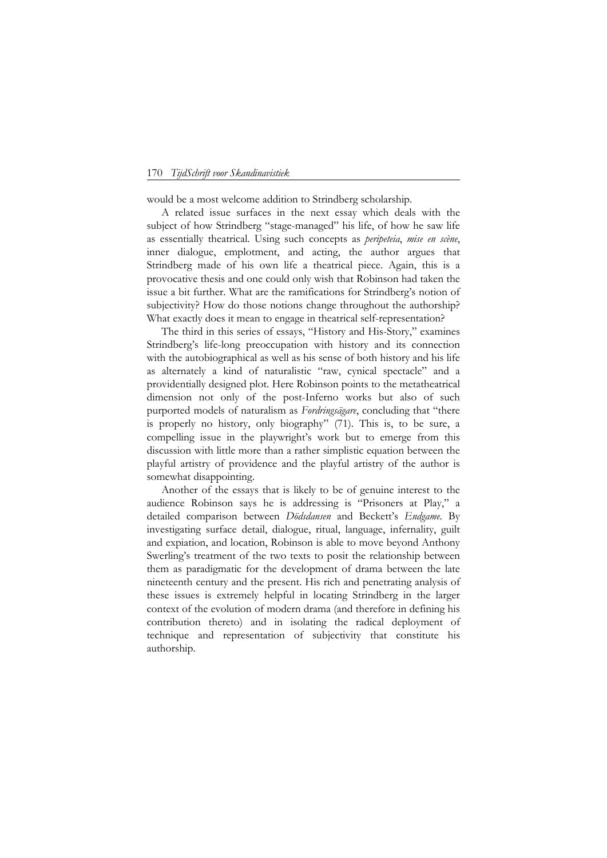## 170 *TijdSchrift voor Skandinavistiek*

would be a most welcome addition to Strindberg scholarship.

 A related issue surfaces in the next essay which deals with the subject of how Strindberg "stage-managed" his life, of how he saw life as essentially theatrical. Using such concepts as *peripeteia*, *mise en scène*, inner dialogue, emplotment, and acting, the author argues that Strindberg made of his own life a theatrical piece. Again, this is a provocative thesis and one could only wish that Robinson had taken the issue a bit further. What are the ramifications for Strindberg's notion of subjectivity? How do those notions change throughout the authorship? What exactly does it mean to engage in theatrical self-representation?

 The third in this series of essays, "History and His-Story," examines Strindberg's life-long preoccupation with history and its connection with the autobiographical as well as his sense of both history and his life as alternately a kind of naturalistic "raw, cynical spectacle" and a providentially designed plot. Here Robinson points to the metatheatrical dimension not only of the post-Inferno works but also of such purported models of naturalism as *Fordringsägare*, concluding that "there is properly no history, only biography" (71). This is, to be sure, a compelling issue in the playwright's work but to emerge from this discussion with little more than a rather simplistic equation between the playful artistry of providence and the playful artistry of the author is somewhat disappointing.

 Another of the essays that is likely to be of genuine interest to the audience Robinson says he is addressing is "Prisoners at Play," a detailed comparison between *Dödsdansen* and Beckett's *Endgame*. By investigating surface detail, dialogue, ritual, language, infernality, guilt and expiation, and location, Robinson is able to move beyond Anthony Swerling's treatment of the two texts to posit the relationship between them as paradigmatic for the development of drama between the late nineteenth century and the present. His rich and penetrating analysis of these issues is extremely helpful in locating Strindberg in the larger context of the evolution of modern drama (and therefore in defining his contribution thereto) and in isolating the radical deployment of technique and representation of subjectivity that constitute his authorship.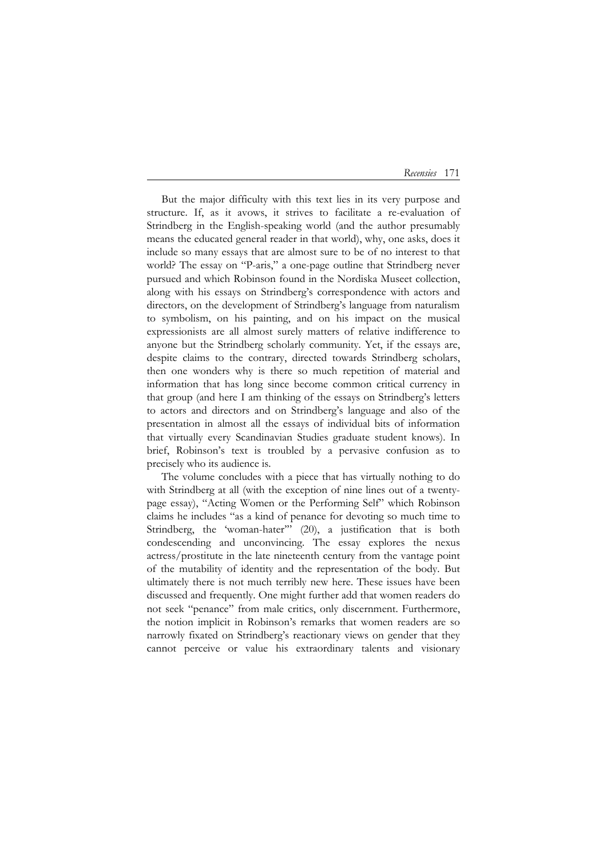*Recensies* 171

 But the major difficulty with this text lies in its very purpose and structure. If, as it avows, it strives to facilitate a re-evaluation of Strindberg in the English-speaking world (and the author presumably means the educated general reader in that world), why, one asks, does it include so many essays that are almost sure to be of no interest to that world? The essay on "P-aris," a one-page outline that Strindberg never pursued and which Robinson found in the Nordiska Museet collection, along with his essays on Strindberg's correspondence with actors and directors, on the development of Strindberg's language from naturalism to symbolism, on his painting, and on his impact on the musical expressionists are all almost surely matters of relative indifference to anyone but the Strindberg scholarly community. Yet, if the essays are, despite claims to the contrary, directed towards Strindberg scholars, then one wonders why is there so much repetition of material and information that has long since become common critical currency in that group (and here I am thinking of the essays on Strindberg's letters to actors and directors and on Strindberg's language and also of the presentation in almost all the essays of individual bits of information that virtually every Scandinavian Studies graduate student knows). In brief, Robinson's text is troubled by a pervasive confusion as to precisely who its audience is.

 The volume concludes with a piece that has virtually nothing to do with Strindberg at all (with the exception of nine lines out of a twentypage essay), "Acting Women or the Performing Self" which Robinson claims he includes "as a kind of penance for devoting so much time to Strindberg, the 'woman-hater'" (20), a justification that is both condescending and unconvincing. The essay explores the nexus actress/prostitute in the late nineteenth century from the vantage point of the mutability of identity and the representation of the body. But ultimately there is not much terribly new here. These issues have been discussed and frequently. One might further add that women readers do not seek "penance" from male critics, only discernment. Furthermore, the notion implicit in Robinson's remarks that women readers are so narrowly fixated on Strindberg's reactionary views on gender that they cannot perceive or value his extraordinary talents and visionary